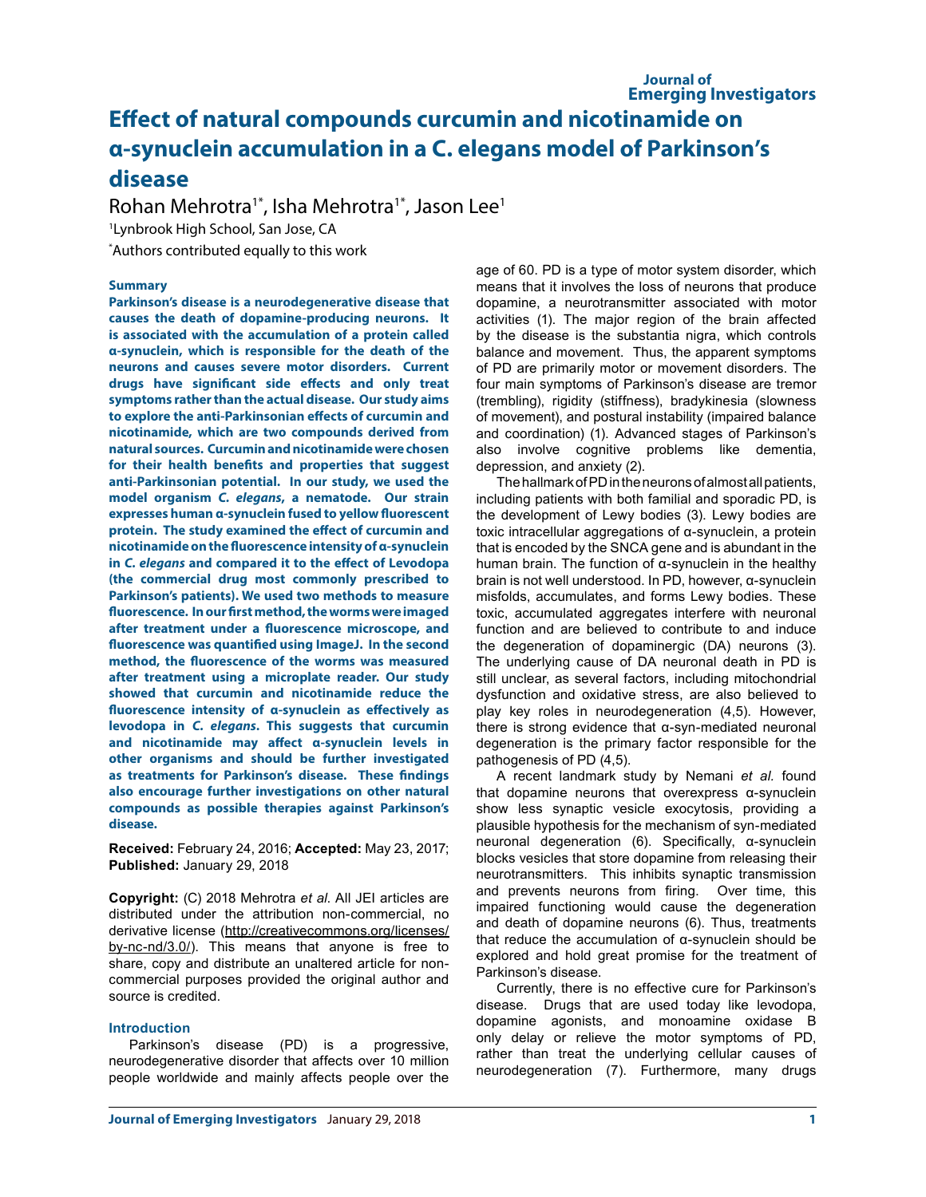# **Effect of natural compounds curcumin and nicotinamide on α-synuclein accumulation in a C. elegans model of Parkinson's disease**

Rohan Mehrotra<sup>1\*</sup>, Isha Mehrotra<sup>1\*</sup>, Jason Lee<sup>1</sup> 1 Lynbrook High School, San Jose, CA \* Authors contributed equally to this work

## **Summary**

**Parkinson's disease is a neurodegenerative disease that causes the death of dopamine-producing neurons. It is associated with the accumulation of a protein called α-synuclein, which is responsible for the death of the neurons and causes severe motor disorders. Current drugs have significant side effects and only treat symptoms rather than the actual disease. Our study aims to explore the anti-Parkinsonian effects of curcumin and nicotinamide, which are two compounds derived from natural sources. Curcumin and nicotinamide were chosen for their health benefits and properties that suggest anti-Parkinsonian potential. In our study, we used the model organism** *C. elegans***, a nematode. Our strain expresses human α-synuclein fused to yellow fluorescent protein. The study examined the effect of curcumin and nicotinamide on the fluorescence intensity of α-synuclein in** *C. elegans* **and compared it to the effect of Levodopa (the commercial drug most commonly prescribed to Parkinson's patients). We used two methods to measure fluorescence. In our first method, the worms were imaged after treatment under a fluorescence microscope, and fluorescence was quantified using ImageJ. In the second method, the fluorescence of the worms was measured after treatment using a microplate reader. Our study showed that curcumin and nicotinamide reduce the fluorescence intensity of α-synuclein as effectively as levodopa in** *C. elegans***. This suggests that curcumin and nicotinamide may affect α-synuclein levels in other organisms and should be further investigated as treatments for Parkinson's disease. These findings also encourage further investigations on other natural compounds as possible therapies against Parkinson's disease.** 

**Received:** February 24, 2016; **Accepted:** May 23, 2017; **Published:** January 29, 2018

**Copyright:** (C) 2018 Mehrotra *et al*. All JEI articles are distributed under the attribution non-commercial, no derivative license (http://creativecommons.org/licenses/ by-nc-nd/3.0/). This means that anyone is free to share, copy and distribute an unaltered article for noncommercial purposes provided the original author and source is credited.

## **Introduction**

Parkinson's disease (PD) is a progressive, neurodegenerative disorder that affects over 10 million people worldwide and mainly affects people over the

age of 60. PD is a type of motor system disorder, which means that it involves the loss of neurons that produce dopamine, a neurotransmitter associated with motor activities (1). The major region of the brain affected by the disease is the substantia nigra, which controls balance and movement. Thus, the apparent symptoms of PD are primarily motor or movement disorders. The four main symptoms of Parkinson's disease are tremor (trembling), rigidity (stiffness), bradykinesia (slowness of movement), and postural instability (impaired balance and coordination) (1). Advanced stages of Parkinson's also involve cognitive problems like dementia, depression, and anxiety (2).

The hallmark of PD in the neurons of almost all patients, including patients with both familial and sporadic PD, is the development of Lewy bodies (3). Lewy bodies are toxic intracellular aggregations of α-synuclein, a protein that is encoded by the SNCA gene and is abundant in the human brain. The function of α-synuclein in the healthy brain is not well understood. In PD, however, α-synuclein misfolds, accumulates, and forms Lewy bodies. These toxic, accumulated aggregates interfere with neuronal function and are believed to contribute to and induce the degeneration of dopaminergic (DA) neurons (3). The underlying cause of DA neuronal death in PD is still unclear, as several factors, including mitochondrial dysfunction and oxidative stress, are also believed to play key roles in neurodegeneration (4,5). However, there is strong evidence that α-syn-mediated neuronal degeneration is the primary factor responsible for the pathogenesis of PD (4,5).

A recent landmark study by Nemani *et al.* found that dopamine neurons that overexpress α-synuclein show less synaptic vesicle exocytosis, providing a plausible hypothesis for the mechanism of syn-mediated neuronal degeneration (6). Specifically, α-synuclein blocks vesicles that store dopamine from releasing their neurotransmitters. This inhibits synaptic transmission and prevents neurons from firing. Over time, this impaired functioning would cause the degeneration and death of dopamine neurons (6). Thus, treatments that reduce the accumulation of α-synuclein should be explored and hold great promise for the treatment of Parkinson's disease.

Currently, there is no effective cure for Parkinson's disease. Drugs that are used today like levodopa, dopamine agonists, and monoamine oxidase B only delay or relieve the motor symptoms of PD, rather than treat the underlying cellular causes of neurodegeneration (7). Furthermore, many drugs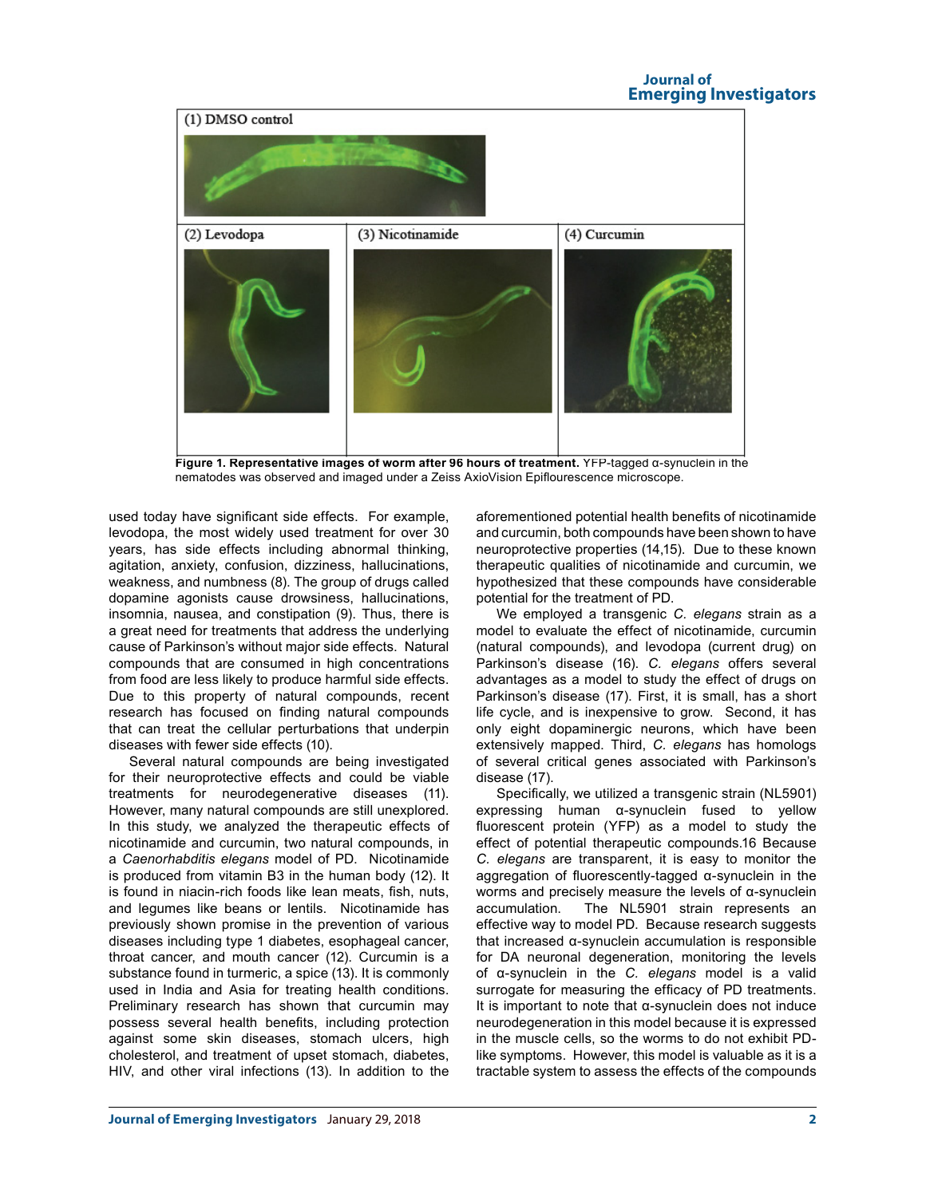## **Journal of Emerging Investigators**



**Figure 1. Representative images of worm after 96 hours of treatment.** YFP-tagged α-synuclein in the nematodes was observed and imaged under a Zeiss AxioVision Epiflourescence microscope.

used today have significant side effects. For example, levodopa, the most widely used treatment for over 30 years, has side effects including abnormal thinking, agitation, anxiety, confusion, dizziness, hallucinations, weakness, and numbness (8). The group of drugs called dopamine agonists cause drowsiness, hallucinations, insomnia, nausea, and constipation (9). Thus, there is a great need for treatments that address the underlying cause of Parkinson's without major side effects. Natural compounds that are consumed in high concentrations from food are less likely to produce harmful side effects. Due to this property of natural compounds, recent research has focused on finding natural compounds that can treat the cellular perturbations that underpin diseases with fewer side effects (10).

Several natural compounds are being investigated for their neuroprotective effects and could be viable treatments for neurodegenerative diseases (11). However, many natural compounds are still unexplored. In this study, we analyzed the therapeutic effects of nicotinamide and curcumin, two natural compounds, in a *Caenorhabditis elegans* model of PD. Nicotinamide is produced from vitamin B3 in the human body (12). It is found in niacin-rich foods like lean meats, fish, nuts, and legumes like beans or lentils. Nicotinamide has previously shown promise in the prevention of various diseases including type 1 diabetes, esophageal cancer, throat cancer, and mouth cancer (12). Curcumin is a substance found in turmeric, a spice (13). It is commonly used in India and Asia for treating health conditions. Preliminary research has shown that curcumin may possess several health benefits, including protection against some skin diseases, stomach ulcers, high cholesterol, and treatment of upset stomach, diabetes, HIV, and other viral infections (13). In addition to the aforementioned potential health benefits of nicotinamide and curcumin, both compounds have been shown to have neuroprotective properties (14,15). Due to these known therapeutic qualities of nicotinamide and curcumin, we hypothesized that these compounds have considerable potential for the treatment of PD.

We employed a transgenic *C. elegans* strain as a model to evaluate the effect of nicotinamide, curcumin (natural compounds), and levodopa (current drug) on Parkinson's disease (16). *C. elegans* offers several advantages as a model to study the effect of drugs on Parkinson's disease (17). First, it is small, has a short life cycle, and is inexpensive to grow. Second, it has only eight dopaminergic neurons, which have been extensively mapped. Third, *C. elegans* has homologs of several critical genes associated with Parkinson's disease (17).

Specifically, we utilized a transgenic strain (NL5901) expressing human α-synuclein fused to yellow fluorescent protein (YFP) as a model to study the effect of potential therapeutic compounds.16 Because *C. elegans* are transparent, it is easy to monitor the aggregation of fluorescently-tagged α-synuclein in the worms and precisely measure the levels of α-synuclein accumulation. The NL5901 strain represents an effective way to model PD. Because research suggests that increased α-synuclein accumulation is responsible for DA neuronal degeneration, monitoring the levels of α-synuclein in the *C. elegans* model is a valid surrogate for measuring the efficacy of PD treatments. It is important to note that α-synuclein does not induce neurodegeneration in this model because it is expressed in the muscle cells, so the worms to do not exhibit PDlike symptoms. However, this model is valuable as it is a tractable system to assess the effects of the compounds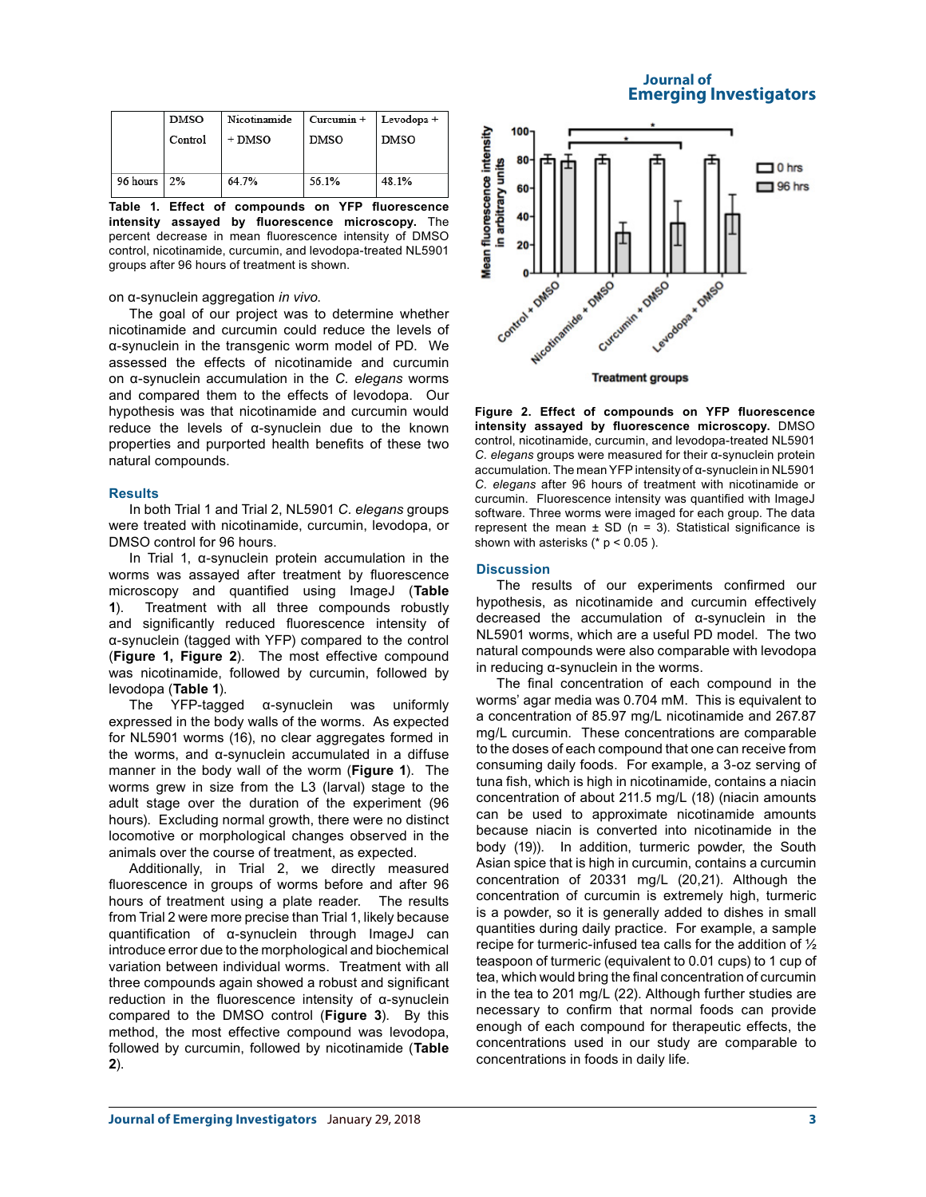|          | DMSO    | Nicotinamide | $Curcumin +$ | Levodopa +  |
|----------|---------|--------------|--------------|-------------|
|          | Control | $+$ DMSO     | <b>DMSO</b>  | <b>DMSO</b> |
|          |         |              |              |             |
|          |         |              |              |             |
| 96 hours | 2%      | 64.7%        | 56.1%        | 48.1%       |
|          |         |              |              |             |

**Table 1. Effect of compounds on YFP fluorescence intensity assayed by fluorescence microscopy.** The percent decrease in mean fluorescence intensity of DMSO control, nicotinamide, curcumin, and levodopa-treated NL5901 groups after 96 hours of treatment is shown.

## on α-synuclein aggregation *in vivo*.

The goal of our project was to determine whether nicotinamide and curcumin could reduce the levels of α-synuclein in the transgenic worm model of PD. We assessed the effects of nicotinamide and curcumin on α-synuclein accumulation in the *C. elegans* worms and compared them to the effects of levodopa. Our hypothesis was that nicotinamide and curcumin would reduce the levels of α-synuclein due to the known properties and purported health benefits of these two natural compounds.

## **Results**

In both Trial 1 and Trial 2, NL5901 *C. elegans* groups were treated with nicotinamide, curcumin, levodopa, or DMSO control for 96 hours.

In Trial 1, α-synuclein protein accumulation in the worms was assayed after treatment by fluorescence microscopy and quantified using ImageJ (**Table 1**). Treatment with all three compounds robustly and significantly reduced fluorescence intensity of α-synuclein (tagged with YFP) compared to the control (**Figure 1, Figure 2**). The most effective compound was nicotinamide, followed by curcumin, followed by levodopa (**Table 1**).

The YFP-tagged α-synuclein was uniformly expressed in the body walls of the worms. As expected for NL5901 worms (16), no clear aggregates formed in the worms, and α-synuclein accumulated in a diffuse manner in the body wall of the worm (**Figure 1**). The worms grew in size from the L3 (larval) stage to the adult stage over the duration of the experiment (96 hours). Excluding normal growth, there were no distinct locomotive or morphological changes observed in the animals over the course of treatment, as expected.

Additionally, in Trial 2, we directly measured fluorescence in groups of worms before and after 96 hours of treatment using a plate reader. The results from Trial 2 were more precise than Trial 1, likely because quantification of α-synuclein through ImageJ can introduce error due to the morphological and biochemical variation between individual worms. Treatment with all three compounds again showed a robust and significant reduction in the fluorescence intensity of α-synuclein compared to the DMSO control (**Figure 3**). By this method, the most effective compound was levodopa, followed by curcumin, followed by nicotinamide (**Table 2**).

# **Journal of Emerging Investigators**



**Figure 2. Effect of compounds on YFP fluorescence intensity assayed by fluorescence microscopy.** DMSO control, nicotinamide, curcumin, and levodopa-treated NL5901 *C. elegans* groups were measured for their α-synuclein protein accumulation. The mean YFP intensity of α-synuclein in NL5901 *C. elegans* after 96 hours of treatment with nicotinamide or curcumin. Fluorescence intensity was quantified with ImageJ software. Three worms were imaged for each group. The data represent the mean  $\pm$  SD (n = 3). Statistical significance is shown with asterisks  $(* p < 0.05)$ .

## **Discussion**

The results of our experiments confirmed our hypothesis, as nicotinamide and curcumin effectively decreased the accumulation of α-synuclein in the NL5901 worms, which are a useful PD model. The two natural compounds were also comparable with levodopa in reducing α-synuclein in the worms.

The final concentration of each compound in the worms' agar media was 0.704 mM. This is equivalent to a concentration of 85.97 mg/L nicotinamide and 267.87 mg/L curcumin. These concentrations are comparable to the doses of each compound that one can receive from consuming daily foods. For example, a 3-oz serving of tuna fish, which is high in nicotinamide, contains a niacin concentration of about 211.5 mg/L (18) (niacin amounts can be used to approximate nicotinamide amounts because niacin is converted into nicotinamide in the body (19)). In addition, turmeric powder, the South Asian spice that is high in curcumin, contains a curcumin concentration of 20331 mg/L (20,21). Although the concentration of curcumin is extremely high, turmeric is a powder, so it is generally added to dishes in small quantities during daily practice. For example, a sample recipe for turmeric-infused tea calls for the addition of ½ teaspoon of turmeric (equivalent to 0.01 cups) to 1 cup of tea, which would bring the final concentration of curcumin in the tea to 201 mg/L (22). Although further studies are necessary to confirm that normal foods can provide enough of each compound for therapeutic effects, the concentrations used in our study are comparable to concentrations in foods in daily life.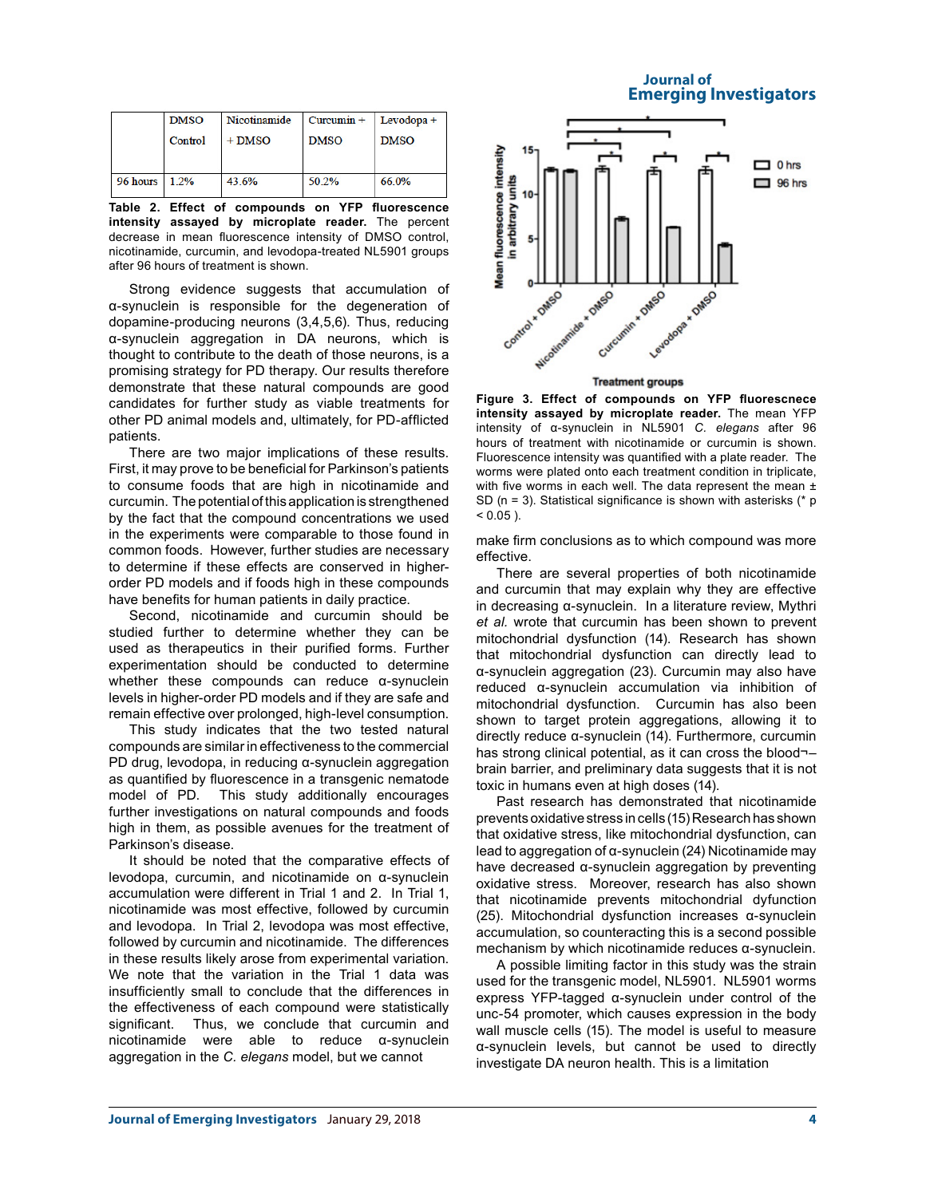| <b>Journal of</b> |                               |
|-------------------|-------------------------------|
|                   | <b>Emerging Investigators</b> |

| <b>DMSO</b> | Nicotinamide | $Curcumin +$ | $Levodopa +$ |
|-------------|--------------|--------------|--------------|
| Control     | $+$ DMSO     | <b>DMSO</b>  | <b>DMSO</b>  |
|             |              |              |              |
|             |              |              |              |
| $1.2\%$     | 43.6%        | 50.2%        | 66.0%        |
|             |              |              |              |

**Table 2. Effect of compounds on YFP fluorescence intensity assayed by microplate reader.** The percent decrease in mean fluorescence intensity of DMSO control, nicotinamide, curcumin, and levodopa-treated NL5901 groups after 96 hours of treatment is shown.

Strong evidence suggests that accumulation of α-synuclein is responsible for the degeneration of dopamine-producing neurons (3,4,5,6). Thus, reducing α-synuclein aggregation in DA neurons, which is thought to contribute to the death of those neurons, is a promising strategy for PD therapy. Our results therefore demonstrate that these natural compounds are good candidates for further study as viable treatments for other PD animal models and, ultimately, for PD-afflicted patients.

There are two major implications of these results. First, it may prove to be beneficial for Parkinson's patients to consume foods that are high in nicotinamide and curcumin. The potential of this application is strengthened by the fact that the compound concentrations we used in the experiments were comparable to those found in common foods. However, further studies are necessary to determine if these effects are conserved in higherorder PD models and if foods high in these compounds have benefits for human patients in daily practice.

Second, nicotinamide and curcumin should be studied further to determine whether they can be used as therapeutics in their purified forms. Further experimentation should be conducted to determine whether these compounds can reduce α-synuclein levels in higher-order PD models and if they are safe and remain effective over prolonged, high-level consumption.

This study indicates that the two tested natural compounds are similar in effectiveness to the commercial PD drug, levodopa, in reducing α-synuclein aggregation as quantified by fluorescence in a transgenic nematode model of PD. This study additionally encourages further investigations on natural compounds and foods high in them, as possible avenues for the treatment of Parkinson's disease.

It should be noted that the comparative effects of levodopa, curcumin, and nicotinamide on α-synuclein accumulation were different in Trial 1 and 2. In Trial 1, nicotinamide was most effective, followed by curcumin and levodopa. In Trial 2, levodopa was most effective, followed by curcumin and nicotinamide. The differences in these results likely arose from experimental variation. We note that the variation in the Trial 1 data was insufficiently small to conclude that the differences in the effectiveness of each compound were statistically significant. Thus, we conclude that curcumin and nicotinamide were able to reduce α-synuclein aggregation in the *C. elegans* model, but we cannot



**Treatment groups** 

**Figure 3. Effect of compounds on YFP fluorescnece intensity assayed by microplate reader.** The mean YFP intensity of α-synuclein in NL5901 *C. elegans* after 96 hours of treatment with nicotinamide or curcumin is shown. Fluorescence intensity was quantified with a plate reader. The worms were plated onto each treatment condition in triplicate, with five worms in each well. The data represent the mean  $\pm$ SD (n = 3). Statistical significance is shown with asterisks (\* p  $< 0.05$ ).

make firm conclusions as to which compound was more effective.

There are several properties of both nicotinamide and curcumin that may explain why they are effective in decreasing α-synuclein. In a literature review, Mythri *et al.* wrote that curcumin has been shown to prevent mitochondrial dysfunction (14). Research has shown that mitochondrial dysfunction can directly lead to α-synuclein aggregation (23). Curcumin may also have reduced α-synuclein accumulation via inhibition of mitochondrial dysfunction. Curcumin has also been shown to target protein aggregations, allowing it to directly reduce α-synuclein (14). Furthermore, curcumin has strong clinical potential, as it can cross the blood-brain barrier, and preliminary data suggests that it is not toxic in humans even at high doses (14).

Past research has demonstrated that nicotinamide prevents oxidative stress in cells (15) Research has shown that oxidative stress, like mitochondrial dysfunction, can lead to aggregation of α-synuclein (24) Nicotinamide may have decreased α-synuclein aggregation by preventing oxidative stress. Moreover, research has also shown that nicotinamide prevents mitochondrial dyfunction (25). Mitochondrial dysfunction increases α-synuclein accumulation, so counteracting this is a second possible mechanism by which nicotinamide reduces α-synuclein.

A possible limiting factor in this study was the strain used for the transgenic model, NL5901. NL5901 worms express YFP-tagged α-synuclein under control of the unc-54 promoter, which causes expression in the body wall muscle cells (15). The model is useful to measure α-synuclein levels, but cannot be used to directly investigate DA neuron health. This is a limitation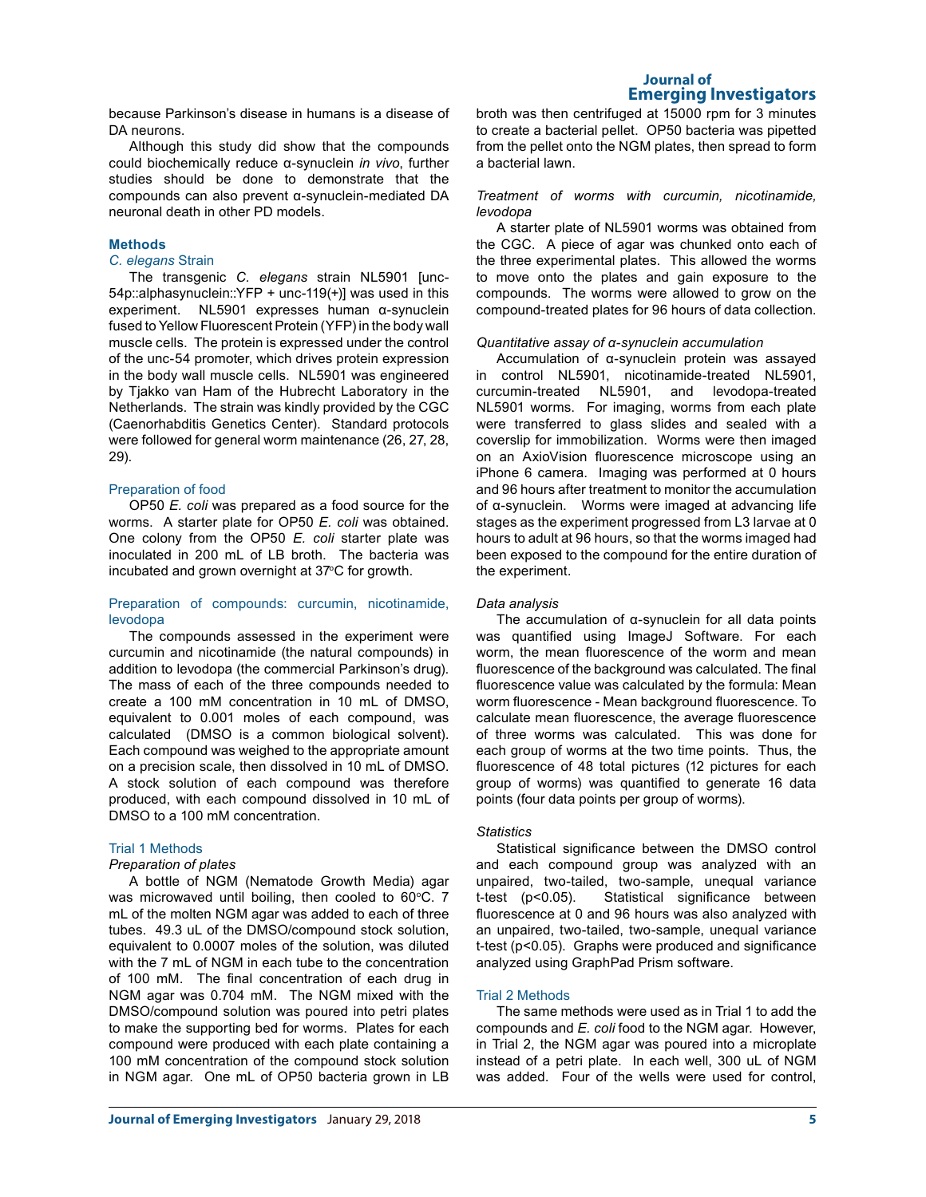because Parkinson's disease in humans is a disease of DA neurons.

Although this study did show that the compounds could biochemically reduce α-synuclein *in vivo*, further studies should be done to demonstrate that the compounds can also prevent α-synuclein-mediated DA neuronal death in other PD models.

# **Methods**

## *C. elegans* Strain

The transgenic *C. elegans* strain NL5901 [unc-54p::alphasynuclein::YFP + unc-119(+)] was used in this experiment. NL5901 expresses human α-synuclein fused to Yellow Fluorescent Protein (YFP) in the body wall muscle cells. The protein is expressed under the control of the unc-54 promoter, which drives protein expression in the body wall muscle cells. NL5901 was engineered by Tjakko van Ham of the Hubrecht Laboratory in the Netherlands. The strain was kindly provided by the CGC (Caenorhabditis Genetics Center). Standard protocols were followed for general worm maintenance (26, 27, 28, 29).

## Preparation of food

OP50 *E. coli* was prepared as a food source for the worms. A starter plate for OP50 *E. coli* was obtained. One colony from the OP50 *E. coli* starter plate was inoculated in 200 mL of LB broth. The bacteria was incubated and grown overnight at 37°C for growth.

## Preparation of compounds: curcumin, nicotinamide, levodopa

The compounds assessed in the experiment were curcumin and nicotinamide (the natural compounds) in addition to levodopa (the commercial Parkinson's drug). The mass of each of the three compounds needed to create a 100 mM concentration in 10 mL of DMSO, equivalent to 0.001 moles of each compound, was calculated (DMSO is a common biological solvent). Each compound was weighed to the appropriate amount on a precision scale, then dissolved in 10 mL of DMSO. A stock solution of each compound was therefore produced, with each compound dissolved in 10 mL of DMSO to a 100 mM concentration.

# Trial 1 Methods

# *Preparation of plates*

A bottle of NGM (Nematode Growth Media) agar was microwaved until boiling, then cooled to  $60^{\circ}$ C. 7 mL of the molten NGM agar was added to each of three tubes. 49.3 uL of the DMSO/compound stock solution, equivalent to 0.0007 moles of the solution, was diluted with the 7 mL of NGM in each tube to the concentration of 100 mM. The final concentration of each drug in NGM agar was 0.704 mM. The NGM mixed with the DMSO/compound solution was poured into petri plates to make the supporting bed for worms. Plates for each compound were produced with each plate containing a 100 mM concentration of the compound stock solution in NGM agar. One mL of OP50 bacteria grown in LB

broth was then centrifuged at 15000 rpm for 3 minutes to create a bacterial pellet. OP50 bacteria was pipetted from the pellet onto the NGM plates, then spread to form a bacterial lawn.

## *Treatment of worms with curcumin, nicotinamide, levodopa*

A starter plate of NL5901 worms was obtained from the CGC. A piece of agar was chunked onto each of the three experimental plates. This allowed the worms to move onto the plates and gain exposure to the compounds. The worms were allowed to grow on the compound-treated plates for 96 hours of data collection.

## *Quantitative assay of α-synuclein accumulation*

Accumulation of α-synuclein protein was assayed in control NL5901, nicotinamide-treated NL5901, curcumin-treated NL5901, and levodopa-treated NL5901 worms. For imaging, worms from each plate were transferred to glass slides and sealed with a coverslip for immobilization. Worms were then imaged on an AxioVision fluorescence microscope using an iPhone 6 camera. Imaging was performed at 0 hours and 96 hours after treatment to monitor the accumulation of α-synuclein. Worms were imaged at advancing life stages as the experiment progressed from L3 larvae at 0 hours to adult at 96 hours, so that the worms imaged had been exposed to the compound for the entire duration of the experiment.

## *Data analysis*

The accumulation of  $\alpha$ -synuclein for all data points was quantified using ImageJ Software. For each worm, the mean fluorescence of the worm and mean fluorescence of the background was calculated. The final fluorescence value was calculated by the formula: Mean worm fluorescence - Mean background fluorescence. To calculate mean fluorescence, the average fluorescence of three worms was calculated. This was done for each group of worms at the two time points. Thus, the fluorescence of 48 total pictures (12 pictures for each group of worms) was quantified to generate 16 data points (four data points per group of worms).

## *Statistics*

Statistical significance between the DMSO control and each compound group was analyzed with an unpaired, two-tailed, two-sample, unequal variance t-test (p<0.05). Statistical significance between fluorescence at 0 and 96 hours was also analyzed with an unpaired, two-tailed, two-sample, unequal variance t-test (p<0.05). Graphs were produced and significance analyzed using GraphPad Prism software.

## Trial 2 Methods

The same methods were used as in Trial 1 to add the compounds and *E. coli* food to the NGM agar. However, in Trial 2, the NGM agar was poured into a microplate instead of a petri plate. In each well, 300 uL of NGM was added. Four of the wells were used for control.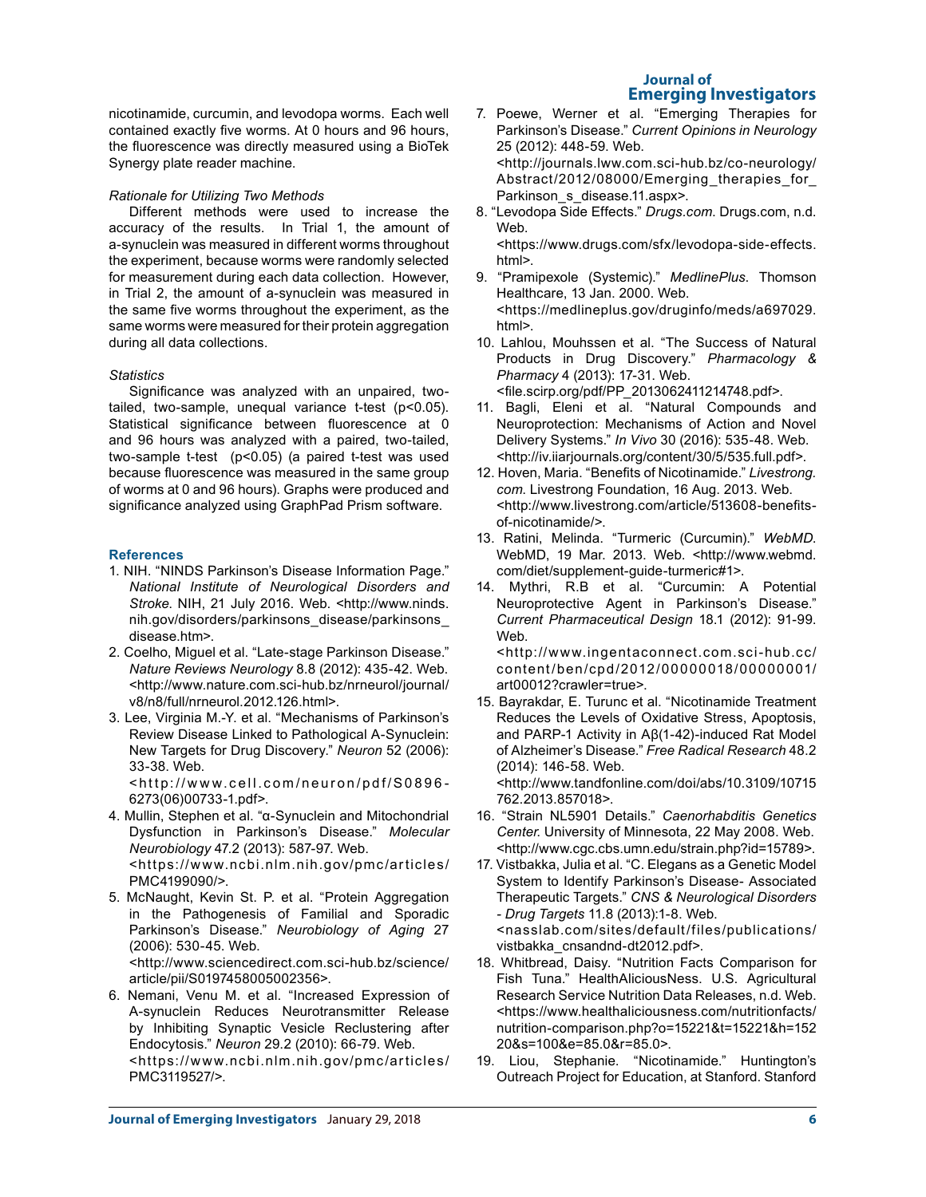# **Journal of Emerging Investigators**

nicotinamide, curcumin, and levodopa worms. Each well contained exactly five worms. At 0 hours and 96 hours, the fluorescence was directly measured using a BioTek Synergy plate reader machine.

# *Rationale for Utilizing Two Methods*

Different methods were used to increase the accuracy of the results. In Trial 1, the amount of a-synuclein was measured in different worms throughout the experiment, because worms were randomly selected for measurement during each data collection. However, in Trial 2, the amount of a-synuclein was measured in the same five worms throughout the experiment, as the same worms were measured for their protein aggregation during all data collections.

# *Statistics*

Significance was analyzed with an unpaired, twotailed, two-sample, unequal variance t-test (p<0.05). Statistical significance between fluorescence at 0 and 96 hours was analyzed with a paired, two-tailed, two-sample t-test (p<0.05) (a paired t-test was used because fluorescence was measured in the same group of worms at 0 and 96 hours). Graphs were produced and significance analyzed using GraphPad Prism software.

# **References**

- 1. NIH. "NINDS Parkinson's Disease Information Page." *National Institute of Neurological Disorders and Stroke*. NIH, 21 July 2016. Web. <http://www.ninds. nih.gov/disorders/parkinsons\_disease/parkinsons\_ disease.htm>.
- 2. Coelho, Miguel et al. "Late-stage Parkinson Disease." *Nature Reviews Neurology* 8.8 (2012): 435-42. Web. <http://www.nature.com.sci-hub.bz/nrneurol/journal/ v8/n8/full/nrneurol.2012.126.html>.
- 3. Lee, Virginia M.-Y. et al. "Mechanisms of Parkinson's Review Disease Linked to Pathological A-Synuclein: New Targets for Drug Discovery." *Neuron* 52 (2006): 33-38. Web.

<http://www.cell.com/neuron/pdf/S0896- 6273(06)00733-1.pdf>.

- 4. Mullin, Stephen et al. "α-Synuclein and Mitochondrial Dysfunction in Parkinson's Disease." *Molecular Neurobiology* 47.2 (2013): 587-97. Web. <https://www.ncbi.nlm.nih.gov/pmc/articles/ PMC4199090/>.
- 5. McNaught, Kevin St. P. et al. "Protein Aggregation in the Pathogenesis of Familial and Sporadic Parkinson's Disease." *Neurobiology of Aging* 27 (2006): 530-45. Web. <http://www.sciencedirect.com.sci-hub.bz/science/

article/pii/S0197458005002356>. 6. Nemani, Venu M. et al. "Increased Expression of Α-synuclein Reduces Neurotransmitter Release

by Inhibiting Synaptic Vesicle Reclustering after Endocytosis." *Neuron* 29.2 (2010): 66-79. Web. <https://www.ncbi.nlm.nih.gov/pmc/articles/ PMC3119527/>.

- 7. Poewe, Werner et al. "Emerging Therapies for Parkinson's Disease." *Current Opinions in Neurology*  25 (2012): 448-59. Web. <http://journals.lww.com.sci-hub.bz/co-neurology/ Abstract/2012/08000/Emerging therapies for Parkinson s disease.11.aspx>.
- 8. "Levodopa Side Effects." *Drugs.com*. Drugs.com, n.d. Web.

<https://www.drugs.com/sfx/levodopa-side-effects. html>.

- 9. "Pramipexole (Systemic)." *MedlinePlus*. Thomson Healthcare, 13 Jan. 2000. Web. <https://medlineplus.gov/druginfo/meds/a697029. html>.
- 10. Lahlou, Mouhssen et al. "The Success of Natural Products in Drug Discovery." *Pharmacology & Pharmacy* 4 (2013): 17-31. Web. <file.scirp.org/pdf/PP\_2013062411214748.pdf>.
- 11. Bagli, Eleni et al. "Natural Compounds and Neuroprotection: Mechanisms of Action and Novel Delivery Systems." *In Vivo* 30 (2016): 535-48. Web. <http://iv.iiarjournals.org/content/30/5/535.full.pdf>.
- 12. Hoven, Maria. "Benefits of Nicotinamide." *Livestrong. com*. Livestrong Foundation, 16 Aug. 2013. Web. <http://www.livestrong.com/article/513608-benefitsof-nicotinamide/>.
- 13. Ratini, Melinda. "Turmeric (Curcumin)." *WebMD*. WebMD, 19 Mar. 2013. Web. <http://www.webmd. com/diet/supplement-guide-turmeric#1>.
- 14. Mythri, R.B et al. "Curcumin: A Potential Neuroprotective Agent in Parkinson's Disease." *Current Pharmaceutical Design* 18.1 (2012): 91-99. Web. <http://www.ingentaconnect.com.sci-hub.cc/

content/ben/cpd/2012/00000018/00000001/ art00012?crawler=true>.

15. Bayrakdar, E. Turunc et al. "Nicotinamide Treatment Reduces the Levels of Oxidative Stress, Apoptosis, and PARP-1 Activity in Aβ(1-42)-induced Rat Model of Alzheimer's Disease." *Free Radical Research* 48.2 (2014): 146-58. Web.

<http://www.tandfonline.com/doi/abs/10.3109/10715 762.2013.857018>.

- 16. "Strain NL5901 Details." *Caenorhabditis Genetics Center*. University of Minnesota, 22 May 2008. Web. <http://www.cgc.cbs.umn.edu/strain.php?id=15789>.
- 17. Vistbakka, Julia et al. "C. Elegans as a Genetic Model System to Identify Parkinson's Disease- Associated Therapeutic Targets." *CNS & Neurological Disorders - Drug Targets* 11.8 (2013):1-8. Web. <nasslab.com/sites/default/files/publications/ vistbakka\_cnsandnd-dt2012.pdf>.
- 18. Whitbread, Daisy. "Nutrition Facts Comparison for Fish Tuna." HealthAliciousNess. U.S. Agricultural Research Service Nutrition Data Releases, n.d. Web. <https://www.healthaliciousness.com/nutritionfacts/ nutrition-comparison.php?o=15221&t=15221&h=152 20&s=100&e=85.0&r=85.0>.
- 19. Liou, Stephanie. "Nicotinamide." Huntington's Outreach Project for Education, at Stanford. Stanford